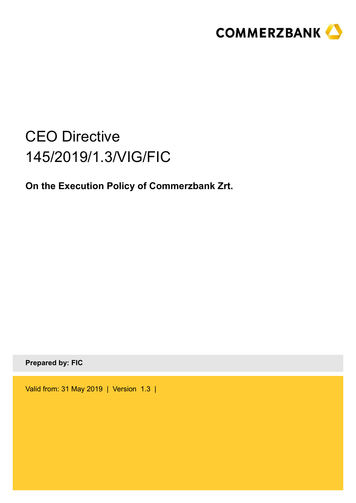

# CEO Directive 145/2019/1.3/VIG/FIC

**On the Execution Policy of Commerzbank Zrt.**

**Prepared by: FIC** 

Valid from: 31 May 2019 | Version 1.3 |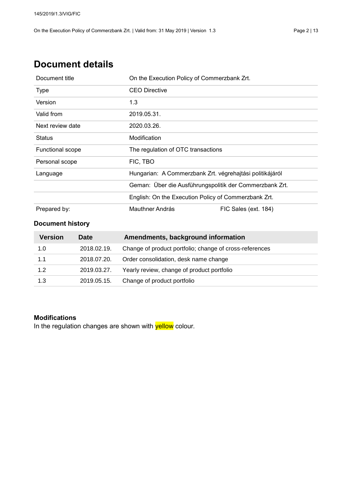### **Document details**

| Document title          | On the Execution Policy of Commerzbank Zrt.              |                      |  |
|-------------------------|----------------------------------------------------------|----------------------|--|
| <b>Type</b>             | <b>CEO Directive</b>                                     |                      |  |
| Version                 | 1.3                                                      |                      |  |
| Valid from              | 2019.05.31.                                              |                      |  |
| Next review date        | 2020.03.26.                                              |                      |  |
| <b>Status</b>           | Modification                                             |                      |  |
| <b>Functional scope</b> | The regulation of OTC transactions                       |                      |  |
| Personal scope          | FIC, TBO                                                 |                      |  |
| Language                | Hungarian: A Commerzbank Zrt. végrehajtási politikájáról |                      |  |
|                         | Geman: Über die Ausführungspolitik der Commerzbank Zrt.  |                      |  |
|                         | English: On the Execution Policy of Commerzbank Zrt.     |                      |  |
| Prepared by:            | Mauthner András                                          | FIC Sales (ext. 184) |  |

### **Document history**

| Version | <b>Date</b> | Amendments, background information                      |
|---------|-------------|---------------------------------------------------------|
| 1.0     | 2018.02.19. | Change of product portfolio; change of cross-references |
| 1.1     | 2018.07.20. | Order consolidation, desk name change                   |
| 1.2     | 2019.03.27. | Yearly review, change of product portfolio              |
| 1.3     | 2019.05.15. | Change of product portfolio                             |

#### **Modifications**

In the regulation changes are shown with yellow colour.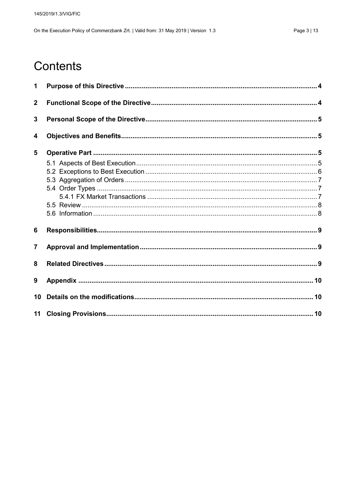## Contents

| 1                       |  |
|-------------------------|--|
| $\mathbf{2}$            |  |
| 3                       |  |
| 4                       |  |
| 5                       |  |
|                         |  |
|                         |  |
|                         |  |
|                         |  |
|                         |  |
|                         |  |
|                         |  |
| $6\phantom{1}$          |  |
| $\overline{\mathbf{7}}$ |  |
| 8                       |  |
| 9                       |  |
| 10                      |  |
|                         |  |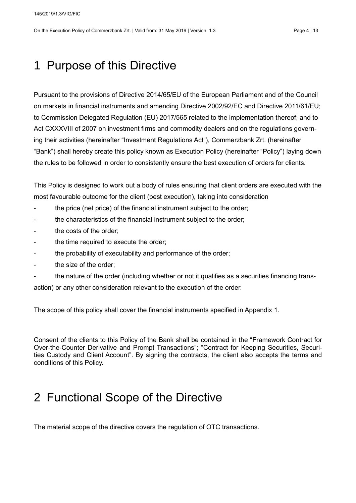On the Execution Policy of Commerzbank Zrt. | Valid from: 31 May 2019 | Version 1.3 Page 4 | 13

## <span id="page-3-0"></span>1 Purpose of this Directive

Pursuant to the provisions of Directive 2014/65/EU of the European Parliament and of the Council on markets in financial instruments and amending Directive 2002/92/EC and Directive 2011/61/EU; to Commission Delegated Regulation (EU) 2017/565 related to the implementation thereof; and to Act CXXXVIII of 2007 on investment firms and commodity dealers and on the regulations governing their activities (hereinafter "Investment Regulations Act"), Commerzbank Zrt. (hereinafter "Bank") shall hereby create this policy known as Execution Policy (hereinafter "Policy") laying down the rules to be followed in order to consistently ensure the best execution of orders for clients.

This Policy is designed to work out a body of rules ensuring that client orders are executed with the most favourable outcome for the client (best execution), taking into consideration

- the price (net price) of the financial instrument subject to the order;
- the characteristics of the financial instrument subject to the order;
- the costs of the order:
- the time required to execute the order;
- the probability of executability and performance of the order;
- the size of the order;
- the nature of the order (including whether or not it qualifies as a securities financing transaction) or any other consideration relevant to the execution of the order.

The scope of this policy shall cover the financial instruments specified in Appendix 1.

Consent of the clients to this Policy of the Bank shall be contained in the "Framework Contract for Over-the-Counter Derivative and Prompt Transactions"; "Contract for Keeping Securities, Securities Custody and Client Account". By signing the contracts, the client also accepts the terms and conditions of this Policy.

### <span id="page-3-1"></span>2 Functional Scope of the Directive

The material scope of the directive covers the regulation of OTC transactions.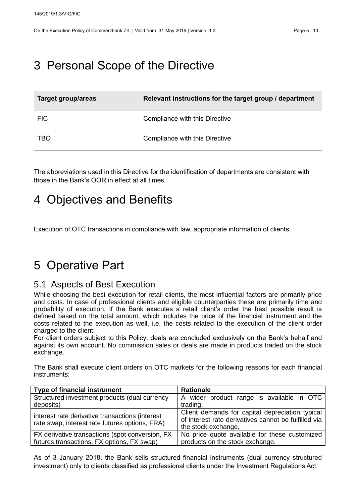## <span id="page-4-0"></span>3 Personal Scope of the Directive

| Target group/areas | Relevant instructions for the target group / department |
|--------------------|---------------------------------------------------------|
| <b>FIC</b>         | Compliance with this Directive                          |
| TBO                | Compliance with this Directive                          |

The abbreviations used in this Directive for the identification of departments are consistent with those in the Bank's OOR in effect at all times.

### <span id="page-4-1"></span>4 Objectives and Benefits

Execution of OTC transactions in compliance with law, appropriate information of clients.

## <span id="page-4-2"></span>5 Operative Part

### <span id="page-4-3"></span>5.1 Aspects of Best Execution

While choosing the best execution for retail clients, the most influential factors are primarily price and costs. In case of professional clients and eligible counterparties these are primarily time and probability of execution. If the Bank executes a retail client's order the best possible result is defined based on the total amount, which includes the price of the financial instrument and the costs related to the execution as well, i.e. the costs related to the execution of the client order charged to the client.

For client orders subject to this Policy, deals are concluded exclusively on the Bank's behalf and against its own account. No commission sales or deals are made in products traded on the stock exchange.

The Bank shall execute client orders on OTC markets for the following reasons for each financial instruments:

| <b>Type of financial instrument</b>                                                               | <b>Rationale</b>                                                                                                               |
|---------------------------------------------------------------------------------------------------|--------------------------------------------------------------------------------------------------------------------------------|
| Structured investment products (dual currency                                                     | A wider product range is available in OTC                                                                                      |
| deposits)                                                                                         | trading.                                                                                                                       |
| interest rate derivative transactions (interest<br>rate swap, interest rate futures options, FRA) | Client demands for capital depreciation typical<br>of interest rate derivatives cannot be fulfilled via<br>the stock exchange. |
| FX derivative transactions (spot conversion, FX<br>futures transactions, FX options, FX swap)     | No price quote available for these customized<br>products on the stock exchange.                                               |

As of 3 January 2018, the Bank sells structured financial instruments (dual currency structured investment) only to clients classified as professional clients under the Investment Regulations Act.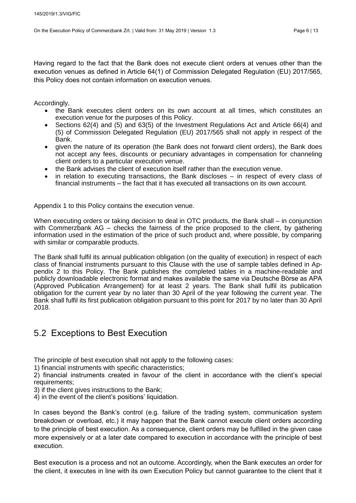Having regard to the fact that the Bank does not execute client orders at venues other than the execution venues as defined in Article 64(1) of Commission Delegated Regulation (EU) 2017/565, this Policy does not contain information on execution venues.

Accordingly,

- the Bank executes client orders on its own account at all times, which constitutes an execution venue for the purposes of this Policy.
- Sections 62(4) and (5) and 63(5) of the Investment Regulations Act and Article 66(4) and (5) of Commission Delegated Regulation (EU) 2017/565 shall not apply in respect of the Bank.
- given the nature of its operation (the Bank does not forward client orders), the Bank does not accept any fees, discounts or pecuniary advantages in compensation for channeling client orders to a particular execution venue.
- the Bank advises the client of execution itself rather than the execution venue.
- in relation to executing transactions, the Bank discloses in respect of every class of financial instruments – the fact that it has executed all transactions on its own account.

Appendix 1 to this Policy contains the execution venue.

When executing orders or taking decision to deal in OTC products, the Bank shall – in conjunction with Commerzbank AG – checks the fairness of the price proposed to the client, by gathering information used in the estimation of the price of such product and, where possible, by comparing with similar or comparable products.

The Bank shall fulfil its annual publication obligation (on the quality of execution) in respect of each class of financial instruments pursuant to this Clause with the use of sample tables defined in Appendix 2 to this Policy. The Bank publishes the completed tables in a machine-readable and publicly downloadable electronic format and makes available the same via Deutsche Börse as APA (Approved Publication Arrangement) for at least 2 years. The Bank shall fulfil its publication obligation for the current year by no later than 30 April of the year following the current year. The Bank shall fulfil its first publication obligation pursuant to this point for 2017 by no later than 30 April 2018.

### <span id="page-5-0"></span>5.2 Exceptions to Best Execution

The principle of best execution shall not apply to the following cases:

1) financial instruments with specific characteristics;

2) financial instruments created in favour of the client in accordance with the client's special requirements;

3) if the client gives instructions to the Bank;

4) in the event of the client's positions' liquidation.

In cases beyond the Bank's control (e.g. failure of the trading system, communication system breakdown or overload, etc.) it may happen that the Bank cannot execute client orders according to the principle of best execution. As a consequence, client orders may be fulfilled in the given case more expensively or at a later date compared to execution in accordance with the principle of best execution.

Best execution is a process and not an outcome. Accordingly, when the Bank executes an order for the client, it executes in line with its own Execution Policy but cannot guarantee to the client that it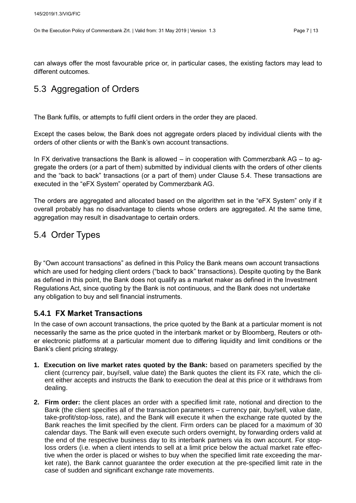can always offer the most favourable price or, in particular cases, the existing factors may lead to different outcomes.

### <span id="page-6-0"></span>5.3 Aggregation of Orders

The Bank fulfils, or attempts to fulfil client orders in the order they are placed.

Except the cases below, the Bank does not aggregate orders placed by individual clients with the orders of other clients or with the Bank's own account transactions.

In FX derivative transactions the Bank is allowed – in cooperation with Commerzbank AG – to aggregate the orders (or a part of them) submitted by individual clients with the orders of other clients and the "back to back" transactions (or a part of them) under Clause 5.4. These transactions are executed in the "eFX System" operated by Commerzbank AG.

The orders are aggregated and allocated based on the algorithm set in the "eFX System" only if it overall probably has no disadvantage to clients whose orders are aggregated. At the same time, aggregation may result in disadvantage to certain orders.

### <span id="page-6-1"></span>5.4 Order Types

By "Own account transactions" as defined in this Policy the Bank means own account transactions which are used for hedging client orders ("back to back" transactions). Despite quoting by the Bank as defined in this point, the Bank does not qualify as a market maker as defined in the Investment Regulations Act, since quoting by the Bank is not continuous, and the Bank does not undertake any obligation to buy and sell financial instruments.

### <span id="page-6-2"></span>**5.4.1 FX Market Transactions**

In the case of own account transactions, the price quoted by the Bank at a particular moment is not necessarily the same as the price quoted in the interbank market or by Bloomberg, Reuters or other electronic platforms at a particular moment due to differing liquidity and limit conditions or the Bank's client pricing strategy.

- **1. Execution on live market rates quoted by the Bank:** based on parameters specified by the client (currency pair, buy/sell, value date) the Bank quotes the client its FX rate, which the client either accepts and instructs the Bank to execution the deal at this price or it withdraws from dealing.
- **2. Firm order:** the client places an order with a specified limit rate, notional and direction to the Bank (the client specifies all of the transaction parameters – currency pair, buy/sell, value date, take-profit/stop-loss, rate), and the Bank will execute it when the exchange rate quoted by the Bank reaches the limit specified by the client. Firm orders can be placed for a maximum of 30 calendar days. The Bank will even execute such orders overnight, by forwarding orders valid at the end of the respective business day to its interbank partners via its own account. For stoploss orders (i.e. when a client intends to sell at a limit price below the actual market rate effective when the order is placed or wishes to buy when the specified limit rate exceeding the market rate), the Bank cannot guarantee the order execution at the pre-specified limit rate in the case of sudden and significant exchange rate movements.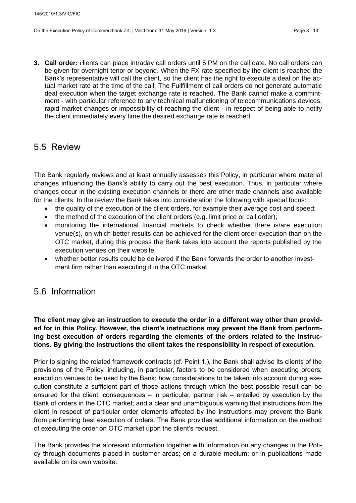**3. Call order:** clients can place intraday call orders until 5 PM on the call date. No call orders can be given for overnight tenor or beyond. When the FX rate specified by the client is reached the Bank's representative will call the client, so the client has the right to execute a deal on the actual market rate at the time of the call. The Fullfillment of call orders do not generate automatic deal execution when the target exchange rate is reached. The Bank cannot make a commintment - with particular reference to any technical malfunctioning of telecommunications devices, rapid market changes or impossibility of reaching the client - in respect of being able to notify the client immediately every time the desired exchange rate is reached.

### <span id="page-7-0"></span>5.5 Review

The Bank regularly reviews and at least annually assesses this Policy, in particular where material changes influencing the Bank's ability to carry out the best execution. Thus, in particular where changes occur in the existing execution channels or there are other trade channels also available for the clients. In the review the Bank takes into consideration the following with special focus:

- the quality of the execution of the client orders, for example their average cost and speed;
- the method of the execution of the client orders (e.g. limit price or call order);
- monitoring the international financial markets to check whether there is/are execution venue(s), on which better results can be achieved for the client order execution than on the OTC market, during this process the Bank takes into account the reports published by the execution venues on their website.
- whether better results could be delivered if the Bank forwards the order to another investment firm rather than executing it in the OTC market.

### <span id="page-7-1"></span>5.6 Information

#### **The client may give an instruction to execute the order in a different way other than provided for in this Policy. However, the client's instructions may prevent the Bank from performing best execution of orders regarding the elements of the orders related to the instructions. By giving the instructions the client takes the responsibility in respect of execution.**

Prior to signing the related framework contracts (cf. Point 1.), the Bank shall advise its clients of the provisions of the Policy, including, in particular, factors to be considered when executing orders; execution venues to be used by the Bank; how considerations to be taken into account during execution constitute a sufficient part of those actions through which the best possible result can be ensured for the client; consequences – in particular, partner risk – entailed by execution by the Bank of orders in the OTC market; and a clear and unambiguous warning that instructions from the client in respect of particular order elements affected by the instructions may prevent the Bank from performing best execution of orders. The Bank provides additional information on the method of executing the order on OTC market upon the client's request.

The Bank provides the aforesaid information together with information on any changes in the Policy through documents placed in customer areas; on a durable medium; or in publications made available on its own website.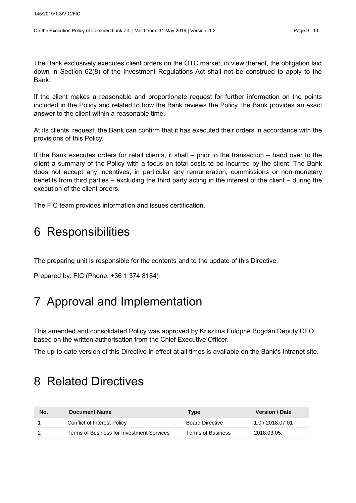The Bank exclusively executes client orders on the OTC market; in view thereof, the obligation laid down in Section 62(8) of the Investment Regulations Act shall not be construed to apply to the Bank.

If the client makes a reasonable and proportionate request for further information on the points included in the Policy and related to how the Bank reviews the Policy, the Bank provides an exact answer to the client within a reasonable time.

At its clients' request, the Bank can confirm that it has executed their orders in accordance with the provisions of this Policy.

If the Bank executes orders for retail clients, it shall – prior to the transaction – hand over to the client a summary of the Policy with a focus on total costs to be incurred by the client. The Bank does not accept any incentives, in particular any remuneration, commissions or non-monetary benefits from third parties – excluding the third party acting in the interest of the client – during the execution of the client orders.

The FIC team provides information and issues certification.

## <span id="page-8-0"></span>6 Responsibilities

The preparing unit is responsible for the contents and to the update of this Directive.

Prepared by: FIC (Phone: +36 1 374 8184)

## <span id="page-8-1"></span>7 Approval and Implementation

This amended and consolidated Policy was approved by Krisztina Fülöpné Bogdán Deputy CEO based on the written authorisation from the Chief Executive Officer.

The up-to-date version of this Directive in effect at all times is available on the Bank's Intranet site.

### <span id="page-8-2"></span>8 Related Directives

| No. | <b>Document Name</b>                      | <b>Type</b>            | <b>Version / Date</b> |
|-----|-------------------------------------------|------------------------|-----------------------|
|     | Conflict of Interest Policy               | <b>Board Directive</b> | 1.0 / 2018.07.01      |
|     | Terms of Business for Investment Services | Terms of Business      | 2018.03.05.           |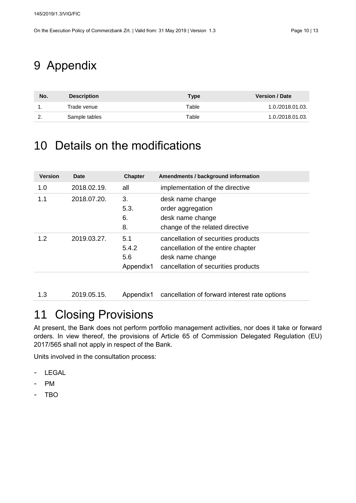## <span id="page-9-0"></span>9 Appendix

| No.      | <b>Description</b> | Type  | <b>Version / Date</b> |
|----------|--------------------|-------|-----------------------|
|          | Trade venue        | Table | 1.0./2018.01.03.      |
| <u>.</u> | Sample tables      | Table | 1.0./2018.01.03.      |

## <span id="page-9-1"></span>10 Details on the modifications

| <b>Version</b> | <b>Date</b> | <b>Chapter</b>                   | Amendments / background information                                                                                                  |
|----------------|-------------|----------------------------------|--------------------------------------------------------------------------------------------------------------------------------------|
| 1.0            | 2018.02.19. | all                              | implementation of the directive                                                                                                      |
| 1.1            | 2018.07.20. | 3.<br>5.3.<br>6.<br>8.           | desk name change<br>order aggregation<br>desk name change<br>change of the related directive                                         |
| 1.2            | 2019.03.27. | 5.1<br>5.4.2<br>5.6<br>Appendix1 | cancellation of securities products<br>cancellation of the entire chapter<br>desk name change<br>cancellation of securities products |

1.3 2019.05.15. Appendix1 cancellation of forward interest rate options

## <span id="page-9-2"></span>11 Closing Provisions

At present, the Bank does not perform portfolio management activities, nor does it take or forward orders. In view thereof, the provisions of Article 65 of Commission Delegated Regulation (EU) 2017/565 shall not apply in respect of the Bank.

Units involved in the consultation process:

- LEGAL
- PM
- TBO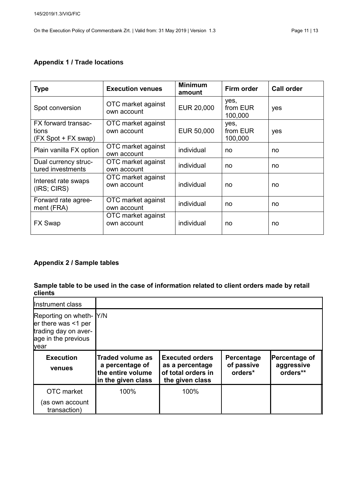#### **Appendix 1 / Trade locations**

| <b>Type</b>                                         | <b>Execution venues</b>           | <b>Minimum</b><br>amount | Firm order                  | <b>Call order</b> |
|-----------------------------------------------------|-----------------------------------|--------------------------|-----------------------------|-------------------|
| Spot conversion                                     | OTC market against<br>own account | EUR 20,000               | yes,<br>from EUR<br>100,000 | yes               |
| FX forward transac-<br>tions<br>(FX Spot + FX swap) | OTC market against<br>own account | EUR 50,000               | yes,<br>from EUR<br>100,000 | yes               |
| Plain vanilla FX option                             | OTC market against<br>own account | individual               | no                          | no                |
| Dual currency struc-<br>tured investments           | OTC market against<br>own account | individual               | no                          | no                |
| Interest rate swaps<br>(IRS; CIRS)                  | OTC market against<br>own account | individual               | no                          | no                |
| Forward rate agree-<br>ment (FRA)                   | OTC market against<br>own account | individual               | no                          | no                |
| <b>FX Swap</b>                                      | OTC market against<br>own account | individual               | no                          | no                |

### **Appendix 2 / Sample tables**

#### **Sample table to be used in the case of information related to client orders made by retail clients**

| Instrument class                                                                                              |                                                                                       |                                                                                    |                                     |                                         |
|---------------------------------------------------------------------------------------------------------------|---------------------------------------------------------------------------------------|------------------------------------------------------------------------------------|-------------------------------------|-----------------------------------------|
| Reporting on wheth- Y/N<br>$er$ there was $\leq 1$ per<br>trading day on aver-<br>age in the previous<br>year |                                                                                       |                                                                                    |                                     |                                         |
| <b>Execution</b><br>venues                                                                                    | <b>Traded volume as</b><br>a percentage of<br>the entire volume<br>in the given class | <b>Executed orders</b><br>as a percentage<br>of total orders in<br>the given class | Percentage<br>of passive<br>orders* | Percentage of<br>aggressive<br>orders** |
| OTC market<br>(as own account<br>transaction)                                                                 | 100%                                                                                  | 100%                                                                               |                                     |                                         |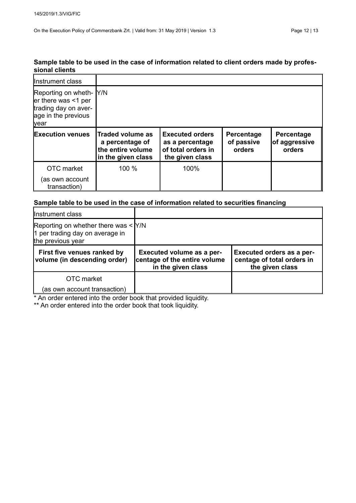#### **Sample table to be used in the case of information related to client orders made by professional clients**

| Instrument class                                                                                              |                                                                                       |                                                                                    |                                    |                                       |
|---------------------------------------------------------------------------------------------------------------|---------------------------------------------------------------------------------------|------------------------------------------------------------------------------------|------------------------------------|---------------------------------------|
| Reporting on wheth- Y/N<br>$er$ there was $\leq 1$ per<br>trading day on aver-<br>age in the previous<br>year |                                                                                       |                                                                                    |                                    |                                       |
| <b>Execution venues</b>                                                                                       | <b>Traded volume as</b><br>a percentage of<br>the entire volume<br>in the given class | <b>Executed orders</b><br>as a percentage<br>of total orders in<br>the given class | Percentage<br>of passive<br>orders | Percentage<br>of aggressive<br>orders |
| OTC market<br>(as own account<br>transaction)                                                                 | 100 %                                                                                 | 100%                                                                               |                                    |                                       |

#### **Sample table to be used in the case of information related to securities financing**

| Instrument class                                                                                  |                                                                                        |                                                                            |
|---------------------------------------------------------------------------------------------------|----------------------------------------------------------------------------------------|----------------------------------------------------------------------------|
| Reporting on whether there was $\leq$ Y/N<br>1 per trading day on average in<br>the previous year |                                                                                        |                                                                            |
| First five venues ranked by<br>volume (in descending order)                                       | <b>Executed volume as a per-</b><br>centage of the entire volume<br>in the given class | Executed orders as a per-<br>centage of total orders in<br>the given class |
| OTC market                                                                                        |                                                                                        |                                                                            |
| (as own account transaction)                                                                      |                                                                                        |                                                                            |

\* An order entered into the order book that provided liquidity.

\*\* An order entered into the order book that took liquidity.